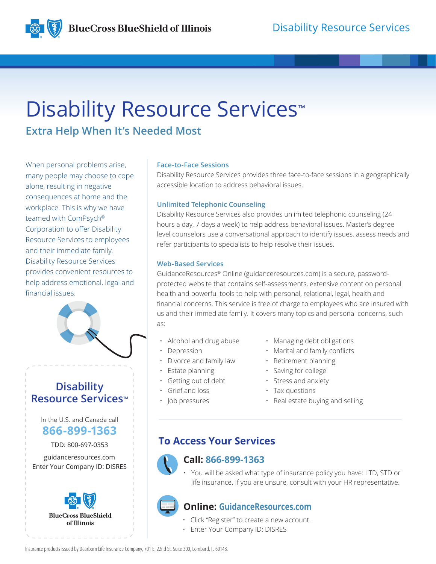

# Disability Resource Services<sup>™</sup>

**Extra Help When It's Needed Most**

When personal problems arise, many people may choose to cope alone, resulting in negative consequences at home and the workplace. This is why we have teamed with ComPsych® Corporation to offer Disability Resource Services to employees and their immediate family. Disability Resource Services provides convenient resources to help address emotional, legal and financial issues.



## **Disability Resource Services™**

In the U.S. and Canada call **866-899-1363**

TDD: 800-697-0353

guidanceresources.com Enter Your Company ID: DISRES



### **Face-to-Face Sessions**

Disability Resource Services provides three face-to-face sessions in a geographically accessible location to address behavioral issues.

### **Unlimited Telephonic Counseling**

Disability Resource Services also provides unlimited telephonic counseling (24 hours a day, 7 days a week) to help address behavioral issues. Master's degree level counselors use a conversational approach to identify issues, assess needs and refer participants to specialists to help resolve their issues.

### **Web-Based Services**

GuidanceResources® Online (guidanceresources.com) is a secure, passwordprotected website that contains self-assessments, extensive content on personal health and powerful tools to help with personal, relational, legal, health and financial concerns. This service is free of charge to employees who are insured with us and their immediate family. It covers many topics and personal concerns, such as:

- Alcohol and drug abuse
- **Depression**
- Divorce and family law
- Estate planning
- Getting out of debt
- Grief and loss
- Job pressures
- Managing debt obligations
- Marital and family conflicts
- Retirement planning
- Saving for college
- Stress and anxiety
- Tax questions
- Real estate buying and selling

## **To Access Your Services**



### **Call: 866-899-1363**

• You will be asked what type of insurance policy you have: LTD, STD or life insurance. If you are unsure, consult with your HR representative.

## **Online: GuidanceResources.com**

- Click "Register" to create a new account.
- Enter Your Company ID: DISRES

Insurance products issued by Dearborn Life Insurance Company, 701 E. 22nd St. Suite 300, Lombard, IL 60148.